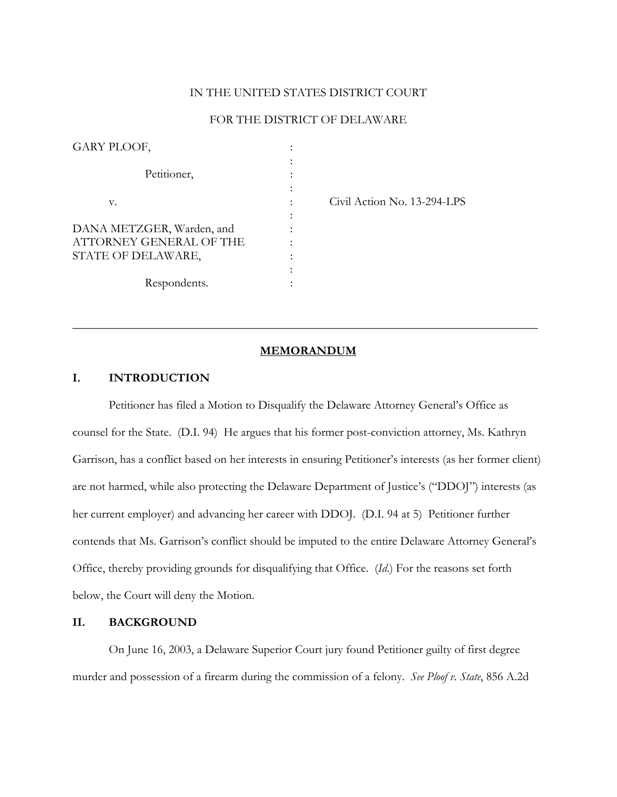#### IN THE UNITED STATES DISTRICT COURT

### FOR THE DISTRICT OF DELAWARE

| GARY PLOOF,                                                                |                |                             |
|----------------------------------------------------------------------------|----------------|-----------------------------|
| Petitioner,                                                                |                |                             |
| v.                                                                         |                | Civil Action No. 13-294-LPS |
| DANA METZGER, Warden, and<br>ATTORNEY GENERAL OF THE<br>STATE OF DELAWARE, | ٠<br>$\bullet$ |                             |
| Respondents.                                                               | ٠              |                             |

### **MEMORANDUM**

\_\_\_\_\_\_\_\_\_\_\_\_\_\_\_\_\_\_\_\_\_\_\_\_\_\_\_\_\_\_\_\_\_\_\_\_\_\_\_\_\_\_\_\_\_\_\_\_\_\_\_\_\_\_\_\_\_\_\_\_\_\_\_\_\_\_\_\_\_\_\_\_\_\_\_\_\_

#### **I. INTRODUCTION**

Petitioner has filed a Motion to Disqualify the Delaware Attorney General's Office as counsel for the State. (D.I. 94) He argues that his former post-conviction attorney, Ms. Kathryn Garrison, has a conflict based on her interests in ensuring Petitioner's interests (as her former client) are not harmed, while also protecting the Delaware Department of Justice's ("DDOJ") interests (as her current employer) and advancing her career with DDOJ. (D.I. 94 at 5) Petitioner further contends that Ms. Garrison's conflict should be imputed to the entire Delaware Attorney General's Office, thereby providing grounds for disqualifying that Office. (*Id*.) For the reasons set forth below, the Court will deny the Motion.

### **II. BACKGROUND**

 On June 16, 2003, a Delaware Superior Court jury found Petitioner guilty of first degree murder and possession of a firearm during the commission of a felony. *See Ploof v. State*, 856 A.2d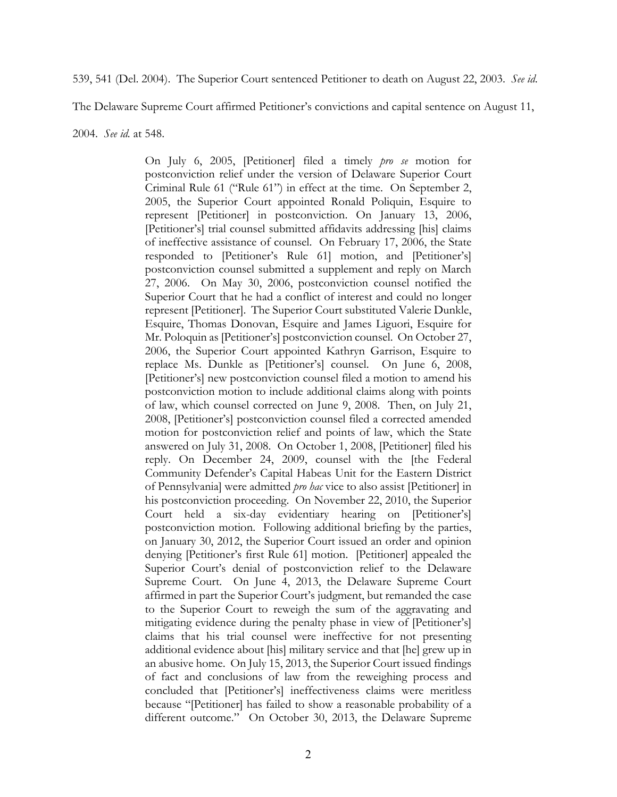539, 541 (Del. 2004). The Superior Court sentenced Petitioner to death on August 22, 2003. *See id*.

The Delaware Supreme Court affirmed Petitioner's convictions and capital sentence on August 11,

2004. *See id.* at 548.

On July 6, 2005, [Petitioner] filed a timely *pro se* motion for postconviction relief under the version of Delaware Superior Court Criminal Rule 61 ("Rule 61") in effect at the time. On September 2, 2005, the Superior Court appointed Ronald Poliquin, Esquire to represent [Petitioner] in postconviction. On January 13, 2006, [Petitioner's] trial counsel submitted affidavits addressing [his] claims of ineffective assistance of counsel. On February 17, 2006, the State responded to [Petitioner's Rule 61] motion, and [Petitioner's] postconviction counsel submitted a supplement and reply on March 27, 2006. On May 30, 2006, postconviction counsel notified the Superior Court that he had a conflict of interest and could no longer represent [Petitioner]. The Superior Court substituted Valerie Dunkle, Esquire, Thomas Donovan, Esquire and James Liguori, Esquire for Mr. Poloquin as [Petitioner's] postconviction counsel. On October 27, 2006, the Superior Court appointed Kathryn Garrison, Esquire to replace Ms. Dunkle as [Petitioner's] counsel. On June 6, 2008, [Petitioner's] new postconviction counsel filed a motion to amend his postconviction motion to include additional claims along with points of law, which counsel corrected on June 9, 2008. Then, on July 21, 2008, [Petitioner's] postconviction counsel filed a corrected amended motion for postconviction relief and points of law, which the State answered on July 31, 2008. On October 1, 2008, [Petitioner] filed his reply. On December 24, 2009, counsel with the [the Federal Community Defender's Capital Habeas Unit for the Eastern District of Pennsylvania] were admitted *pro hac* vice to also assist [Petitioner] in his postconviction proceeding. On November 22, 2010, the Superior Court held a six-day evidentiary hearing on [Petitioner's] postconviction motion. Following additional briefing by the parties, on January 30, 2012, the Superior Court issued an order and opinion denying [Petitioner's first Rule 61] motion. [Petitioner] appealed the Superior Court's denial of postconviction relief to the Delaware Supreme Court. On June 4, 2013, the Delaware Supreme Court affirmed in part the Superior Court's judgment, but remanded the case to the Superior Court to reweigh the sum of the aggravating and mitigating evidence during the penalty phase in view of [Petitioner's] claims that his trial counsel were ineffective for not presenting additional evidence about [his] military service and that [he] grew up in an abusive home. On July 15, 2013, the Superior Court issued findings of fact and conclusions of law from the reweighing process and concluded that [Petitioner's] ineffectiveness claims were meritless because "[Petitioner] has failed to show a reasonable probability of a different outcome." On October 30, 2013, the Delaware Supreme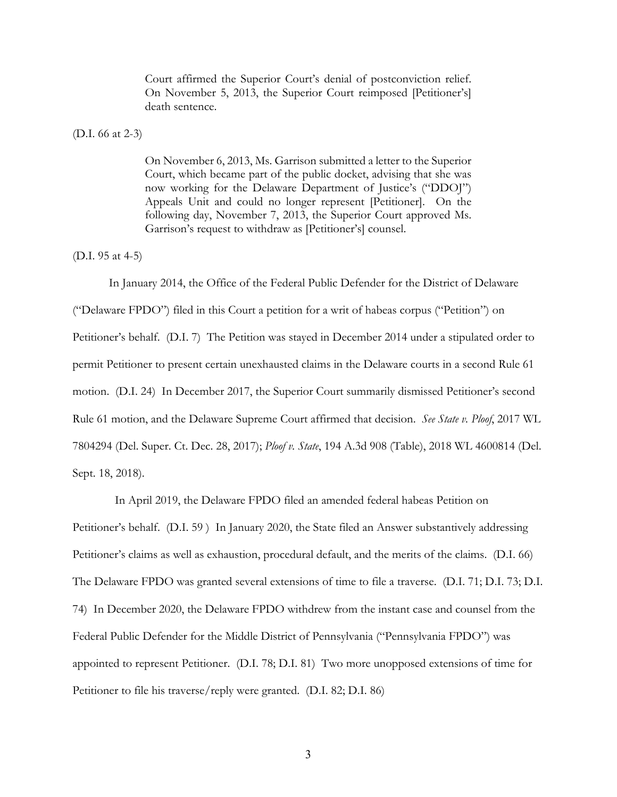Court affirmed the Superior Court's denial of postconviction relief. On November 5, 2013, the Superior Court reimposed [Petitioner's] death sentence.

(D.I. 66 at 2-3)

On November 6, 2013, Ms. Garrison submitted a letter to the Superior Court, which became part of the public docket, advising that she was now working for the Delaware Department of Justice's ("DDOJ") Appeals Unit and could no longer represent [Petitioner]. On the following day, November 7, 2013, the Superior Court approved Ms. Garrison's request to withdraw as [Petitioner's] counsel.

(D.I. 95 at 4-5)

In January 2014, the Office of the Federal Public Defender for the District of Delaware ("Delaware FPDO") filed in this Court a petition for a writ of habeas corpus ("Petition") on Petitioner's behalf. (D.I. 7) The Petition was stayed in December 2014 under a stipulated order to permit Petitioner to present certain unexhausted claims in the Delaware courts in a second Rule 61 motion. (D.I. 24) In December 2017, the Superior Court summarily dismissed Petitioner's second Rule 61 motion, and the Delaware Supreme Court affirmed that decision. *See State v. Ploof*, 2017 WL 7804294 (Del. Super. Ct. Dec. 28, 2017); *Ploof v. State*, 194 A.3d 908 (Table), 2018 WL 4600814 (Del. Sept. 18, 2018).

 In April 2019, the Delaware FPDO filed an amended federal habeas Petition on Petitioner's behalf. (D.I. 59 ) In January 2020, the State filed an Answer substantively addressing Petitioner's claims as well as exhaustion, procedural default, and the merits of the claims. (D.I. 66) The Delaware FPDO was granted several extensions of time to file a traverse. (D.I. 71; D.I. 73; D.I. 74) In December 2020, the Delaware FPDO withdrew from the instant case and counsel from the Federal Public Defender for the Middle District of Pennsylvania ("Pennsylvania FPDO") was appointed to represent Petitioner. (D.I. 78; D.I. 81) Two more unopposed extensions of time for Petitioner to file his traverse/reply were granted. (D.I. 82; D.I. 86)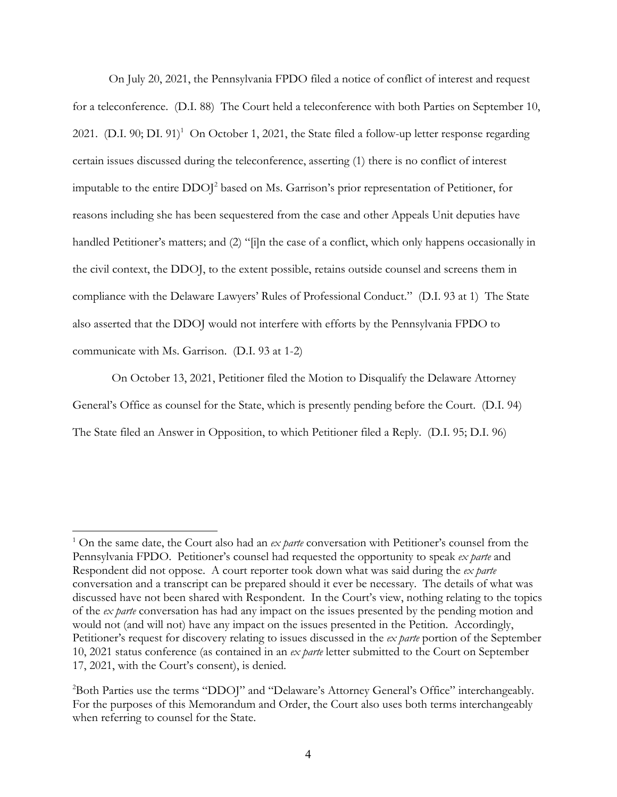On July 20, 2021, the Pennsylvania FPDO filed a notice of conflict of interest and request for a teleconference. (D.I. 88) The Court held a teleconference with both Parties on September 10, 2021. (D.I. 90; DI. 91)<sup>1</sup> On October 1, 2021, the State filed a follow-up letter response regarding certain issues discussed during the teleconference, asserting (1) there is no conflict of interest imputable to the entire DDOJ<sup>2</sup> based on Ms. Garrison's prior representation of Petitioner, for reasons including she has been sequestered from the case and other Appeals Unit deputies have handled Petitioner's matters; and (2) "[i]n the case of a conflict, which only happens occasionally in the civil context, the DDOJ, to the extent possible, retains outside counsel and screens them in compliance with the Delaware Lawyers' Rules of Professional Conduct." (D.I. 93 at 1) The State also asserted that the DDOJ would not interfere with efforts by the Pennsylvania FPDO to communicate with Ms. Garrison. (D.I. 93 at 1-2)

 On October 13, 2021, Petitioner filed the Motion to Disqualify the Delaware Attorney General's Office as counsel for the State, which is presently pending before the Court. (D.I. 94) The State filed an Answer in Opposition, to which Petitioner filed a Reply. (D.I. 95; D.I. 96)

<sup>&</sup>lt;sup>1</sup> On the same date, the Court also had an *ex parte* conversation with Petitioner's counsel from the Pennsylvania FPDO. Petitioner's counsel had requested the opportunity to speak *ex parte* and Respondent did not oppose. A court reporter took down what was said during the *ex parte*  conversation and a transcript can be prepared should it ever be necessary. The details of what was discussed have not been shared with Respondent. In the Court's view, nothing relating to the topics of the *ex parte* conversation has had any impact on the issues presented by the pending motion and would not (and will not) have any impact on the issues presented in the Petition. Accordingly, Petitioner's request for discovery relating to issues discussed in the *ex parte* portion of the September 10, 2021 status conference (as contained in an *ex parte* letter submitted to the Court on September 17, 2021, with the Court's consent), is denied.

<sup>&</sup>lt;sup>2</sup>Both Parties use the terms "DDOJ" and "Delaware's Attorney General's Office" interchangeably. For the purposes of this Memorandum and Order, the Court also uses both terms interchangeably when referring to counsel for the State.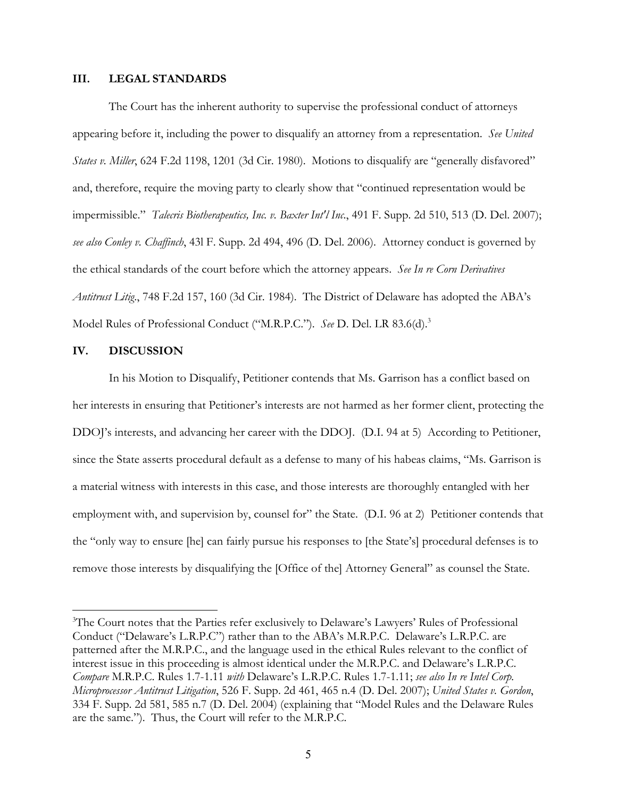#### **III. LEGAL STANDARDS**

The Court has the inherent authority to supervise the professional conduct of attorneys appearing before it, including the power to disqualify an attorney from a representation. *See United States v. Miller*, 624 F.2d 1198, 1201 (3d Cir. 1980). Motions to disqualify are "generally disfavored" and, therefore, require the moving party to clearly show that "continued representation would be impermissible." *Talecris Biotherapeutics, Inc. v. Baxter Int'l Inc*., 491 F. Supp. 2d 510, 513 (D. Del. 2007); *see also Conley v. Chaffinch*, 43l F. Supp. 2d 494, 496 (D. Del. 2006). Attorney conduct is governed by the ethical standards of the court before which the attorney appears. *See In re Corn Derivatives Antitrust Litig*., 748 F.2d 157, 160 (3d Cir. 1984). The District of Delaware has adopted the ABA's Model Rules of Professional Conduct ("M.R.P.C."). *See* D. Del. LR 83.6(d).3

### **IV. DISCUSSION**

In his Motion to Disqualify, Petitioner contends that Ms. Garrison has a conflict based on her interests in ensuring that Petitioner's interests are not harmed as her former client, protecting the DDOJ's interests, and advancing her career with the DDOJ. (D.I. 94 at 5) According to Petitioner, since the State asserts procedural default as a defense to many of his habeas claims, "Ms. Garrison is a material witness with interests in this case, and those interests are thoroughly entangled with her employment with, and supervision by, counsel for" the State. (D.I. 96 at 2) Petitioner contends that the "only way to ensure [he] can fairly pursue his responses to [the State's] procedural defenses is to remove those interests by disqualifying the [Office of the] Attorney General" as counsel the State.

<sup>&</sup>lt;sup>3</sup>The Court notes that the Parties refer exclusively to Delaware's Lawyers' Rules of Professional Conduct ("Delaware's L.R.P.C") rather than to the ABA's M.R.P.C. Delaware's L.R.P.C. are patterned after the M.R.P.C., and the language used in the ethical Rules relevant to the conflict of interest issue in this proceeding is almost identical under the M.R.P.C. and Delaware's L.R.P.C. *Compare* M.R.P.C. Rules 1.7-1.11 *with* Delaware's L.R.P.C. Rules 1.7-1.11; *see also In re Intel Corp. Microprocessor Antitrust Litigation*, 526 F. Supp. 2d 461, 465 n.4 (D. Del. 2007); *United States v. Gordon*, 334 F. Supp. 2d 581, 585 n.7 (D. Del. 2004) (explaining that "Model Rules and the Delaware Rules are the same."). Thus, the Court will refer to the M.R.P.C.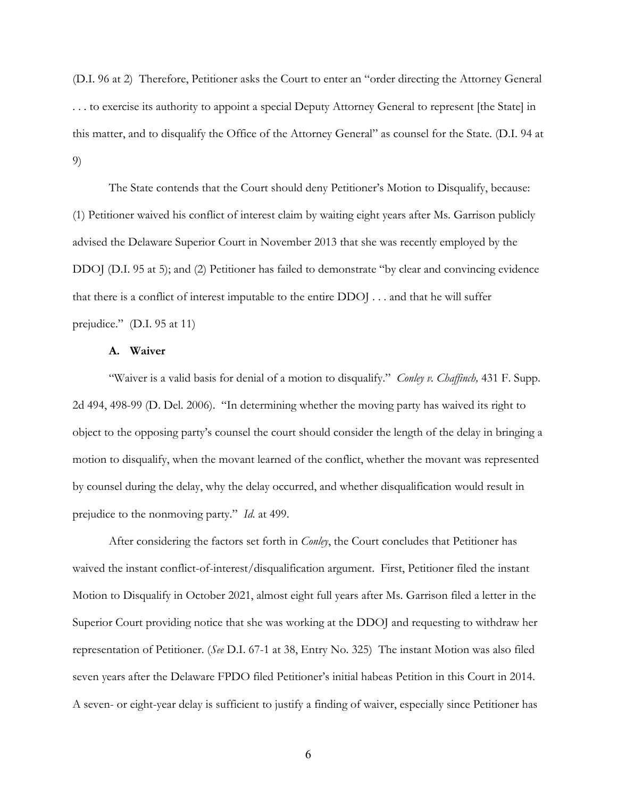(D.I. 96 at 2) Therefore, Petitioner asks the Court to enter an "order directing the Attorney General . . . to exercise its authority to appoint a special Deputy Attorney General to represent [the State] in this matter, and to disqualify the Office of the Attorney General" as counsel for the State. (D.I. 94 at 9)

 The State contends that the Court should deny Petitioner's Motion to Disqualify, because: (1) Petitioner waived his conflict of interest claim by waiting eight years after Ms. Garrison publicly advised the Delaware Superior Court in November 2013 that she was recently employed by the DDOJ (D.I. 95 at 5); and (2) Petitioner has failed to demonstrate "by clear and convincing evidence that there is a conflict of interest imputable to the entire DDOJ . . . and that he will suffer prejudice." (D.I. 95 at 11)

## **A. Waiver**

 "Waiver is a valid basis for denial of a motion to disqualify." *Conley v. Chaffinch,* 431 F. Supp. 2d 494, 498-99 (D. Del. 2006). "In determining whether the moving party has waived its right to object to the opposing party's counsel the court should consider the length of the delay in bringing a motion to disqualify, when the movant learned of the conflict, whether the movant was represented by counsel during the delay, why the delay occurred, and whether disqualification would result in prejudice to the nonmoving party." *Id*. at 499.

 After considering the factors set forth in *Conley*, the Court concludes that Petitioner has waived the instant conflict-of-interest/disqualification argument. First, Petitioner filed the instant Motion to Disqualify in October 2021, almost eight full years after Ms. Garrison filed a letter in the Superior Court providing notice that she was working at the DDOJ and requesting to withdraw her representation of Petitioner. (*See* D.I. 67-1 at 38, Entry No. 325) The instant Motion was also filed seven years after the Delaware FPDO filed Petitioner's initial habeas Petition in this Court in 2014. A seven- or eight-year delay is sufficient to justify a finding of waiver, especially since Petitioner has

6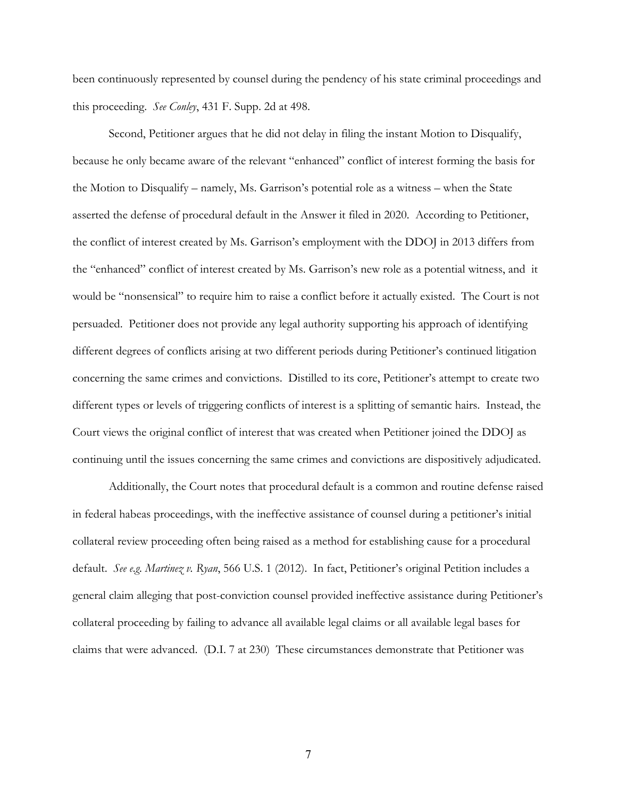been continuously represented by counsel during the pendency of his state criminal proceedings and this proceeding. *See Conley*, 431 F. Supp. 2d at 498.

Second, Petitioner argues that he did not delay in filing the instant Motion to Disqualify, because he only became aware of the relevant "enhanced" conflict of interest forming the basis for the Motion to Disqualify – namely, Ms. Garrison's potential role as a witness – when the State asserted the defense of procedural default in the Answer it filed in 2020. According to Petitioner, the conflict of interest created by Ms. Garrison's employment with the DDOJ in 2013 differs from the "enhanced" conflict of interest created by Ms. Garrison's new role as a potential witness, and it would be "nonsensical" to require him to raise a conflict before it actually existed. The Court is not persuaded. Petitioner does not provide any legal authority supporting his approach of identifying different degrees of conflicts arising at two different periods during Petitioner's continued litigation concerning the same crimes and convictions. Distilled to its core, Petitioner's attempt to create two different types or levels of triggering conflicts of interest is a splitting of semantic hairs. Instead, the Court views the original conflict of interest that was created when Petitioner joined the DDOJ as continuing until the issues concerning the same crimes and convictions are dispositively adjudicated.

Additionally, the Court notes that procedural default is a common and routine defense raised in federal habeas proceedings, with the ineffective assistance of counsel during a petitioner's initial collateral review proceeding often being raised as a method for establishing cause for a procedural default. *See e.g. Martinez v. Ryan*, 566 U.S. 1 (2012). In fact, Petitioner's original Petition includes a general claim alleging that post-conviction counsel provided ineffective assistance during Petitioner's collateral proceeding by failing to advance all available legal claims or all available legal bases for claims that were advanced. (D.I. 7 at 230) These circumstances demonstrate that Petitioner was

7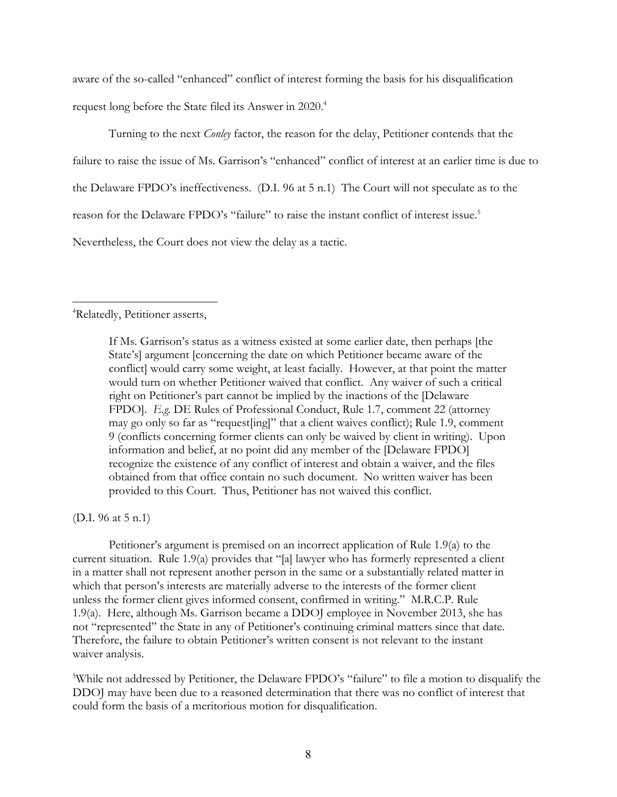aware of the so-called "enhanced" conflict of interest forming the basis for his disqualification request long before the State filed its Answer in 2020.<sup>4</sup>

Turning to the next *Conley* factor, the reason for the delay, Petitioner contends that the failure to raise the issue of Ms. Garrison's "enhanced" conflict of interest at an earlier time is due to the Delaware FPDO's ineffectiveness. (D.I. 96 at 5 n.1) The Court will not speculate as to the reason for the Delaware FPDO's "failure" to raise the instant conflict of interest issue.<sup>5</sup> Nevertheless, the Court does not view the delay as a tactic.

4 Relatedly, Petitioner asserts,

If Ms. Garrison's status as a witness existed at some earlier date, then perhaps [the State's] argument [concerning the date on which Petitioner became aware of the conflict] would carry some weight, at least facially. However, at that point the matter would turn on whether Petitioner waived that conflict. Any waiver of such a critical right on Petitioner's part cannot be implied by the inactions of the [Delaware FPDO]. *E.g*. DE Rules of Professional Conduct, Rule 1.7, comment 22 (attorney may go only so far as "request[ing]" that a client waives conflict); Rule 1.9, comment 9 (conflicts concerning former clients can only be waived by client in writing). Upon information and belief, at no point did any member of the [Delaware FPDO] recognize the existence of any conflict of interest and obtain a waiver, and the files obtained from that office contain no such document. No written waiver has been provided to this Court. Thus, Petitioner has not waived this conflict.

(D.I. 96 at 5 n.1)

Petitioner's argument is premised on an incorrect application of Rule 1.9(a) to the current situation. Rule 1.9(a) provides that "[a] lawyer who has formerly represented a client in a matter shall not represent another person in the same or a substantially related matter in which that person's interests are materially adverse to the interests of the former client unless the former client gives informed consent, confirmed in writing." M.R.C.P. Rule 1.9(a). Here, although Ms. Garrison became a DDOJ employee in November 2013, she has not "represented" the State in any of Petitioner's continuing criminal matters since that date. Therefore, the failure to obtain Petitioner's written consent is not relevant to the instant waiver analysis.

<sup>5</sup>While not addressed by Petitioner, the Delaware FPDO's "failure" to file a motion to disqualify the DDOJ may have been due to a reasoned determination that there was no conflict of interest that could form the basis of a meritorious motion for disqualification.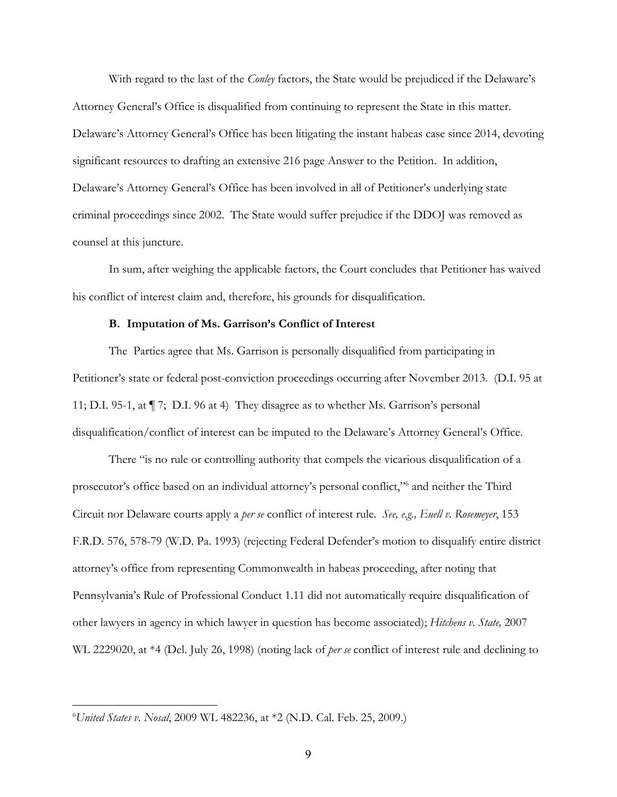With regard to the last of the *Conley* factors, the State would be prejudiced if the Delaware's Attorney General's Office is disqualified from continuing to represent the State in this matter. Delaware's Attorney General's Office has been litigating the instant habeas case since 2014, devoting significant resources to drafting an extensive 216 page Answer to the Petition. In addition, Delaware's Attorney General's Office has been involved in all of Petitioner's underlying state criminal proceedings since 2002. The State would suffer prejudice if the DDOJ was removed as counsel at this juncture.

In sum, after weighing the applicable factors, the Court concludes that Petitioner has waived his conflict of interest claim and, therefore, his grounds for disqualification.

#### **B. Imputation of Ms. Garrison's Conflict of Interest**

The Parties agree that Ms. Garrison is personally disqualified from participating in Petitioner's state or federal post-conviction proceedings occurring after November 2013. (D.I. 95 at 11; D.I. 95-1, at ¶ 7; D.I. 96 at 4) They disagree as to whether Ms. Garrison's personal disqualification/conflict of interest can be imputed to the Delaware's Attorney General's Office.

There "is no rule or controlling authority that compels the vicarious disqualification of a prosecutor's office based on an individual attorney's personal conflict,"6 and neither the Third Circuit nor Delaware courts apply a *per se* conflict of interest rule. *See, e.g., Euell v. Rosemeyer*, 153 F.R.D. 576, 578-79 (W.D. Pa. 1993) (rejecting Federal Defender's motion to disqualify entire district attorney's office from representing Commonwealth in habeas proceeding, after noting that Pennsylvania's Rule of Professional Conduct 1.11 did not automatically require disqualification of other lawyers in agency in which lawyer in question has become associated); *Hitchens v. State,* 2007 WL 2229020, at \*4 (Del. July 26, 1998) (noting lack of *per se* conflict of interest rule and declining to

<sup>6</sup> *United States v. Nosal*, 2009 WL 482236, at \*2 (N.D. Cal. Feb. 25, 2009.)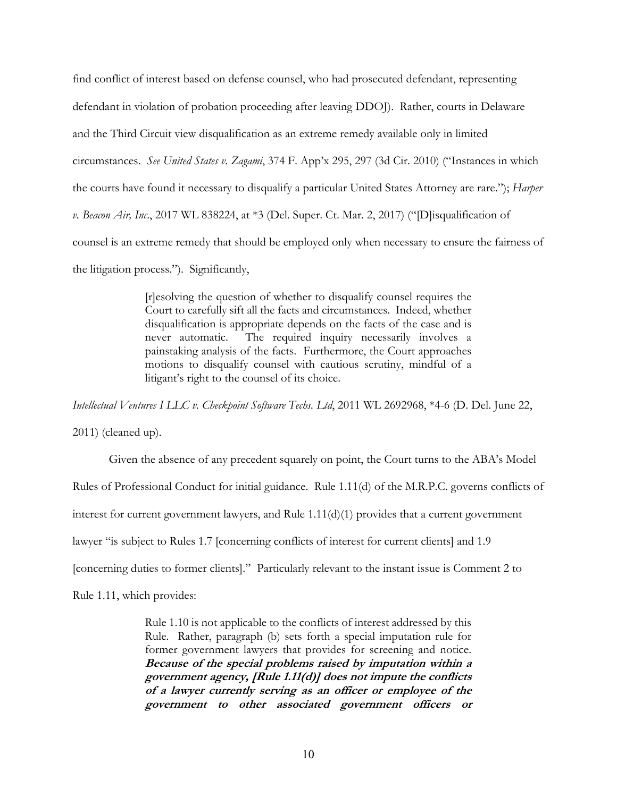find conflict of interest based on defense counsel, who had prosecuted defendant, representing defendant in violation of probation proceeding after leaving DDOJ). Rather, courts in Delaware and the Third Circuit view disqualification as an extreme remedy available only in limited circumstances. *See United States v. Zagami*, 374 F. App'x 295, 297 (3d Cir. 2010) ("Instances in which the courts have found it necessary to disqualify a particular United States Attorney are rare."); *Harper v. Beacon Air, Inc*., 2017 WL 838224, at \*3 (Del. Super. Ct. Mar. 2, 2017) ("[D]isqualification of counsel is an extreme remedy that should be employed only when necessary to ensure the fairness of the litigation process.").Significantly,

> [r]esolving the question of whether to disqualify counsel requires the Court to carefully sift all the facts and circumstances. Indeed, whether disqualification is appropriate depends on the facts of the case and is never automatic. The required inquiry necessarily involves a painstaking analysis of the facts. Furthermore, the Court approaches motions to disqualify counsel with cautious scrutiny, mindful of a litigant's right to the counsel of its choice.

*Intellectual Ventures I LLC v. Checkpoint Software Techs. Ltd*, 2011 WL 2692968, \*4-6 (D. Del. June 22,

2011) (cleaned up).

Given the absence of any precedent squarely on point, the Court turns to the ABA's Model Rules of Professional Conduct for initial guidance. Rule 1.11(d) of the M.R.P.C. governs conflicts of interest for current government lawyers, and Rule 1.11(d)(1) provides that a current government lawyer "is subject to Rules 1.7 [concerning conflicts of interest for current clients] and 1.9 [concerning duties to former clients]." Particularly relevant to the instant issue is Comment 2 to

Rule 1.11, which provides:

Rule 1.10 is not applicable to the conflicts of interest addressed by this Rule. Rather, paragraph (b) sets forth a special imputation rule for former government lawyers that provides for screening and notice. **Because of the special problems raised by imputation within a government agency, [Rule 1.11(d)] does not impute the conflicts of a lawyer currently serving as an officer or employee of the government to other associated government officers or**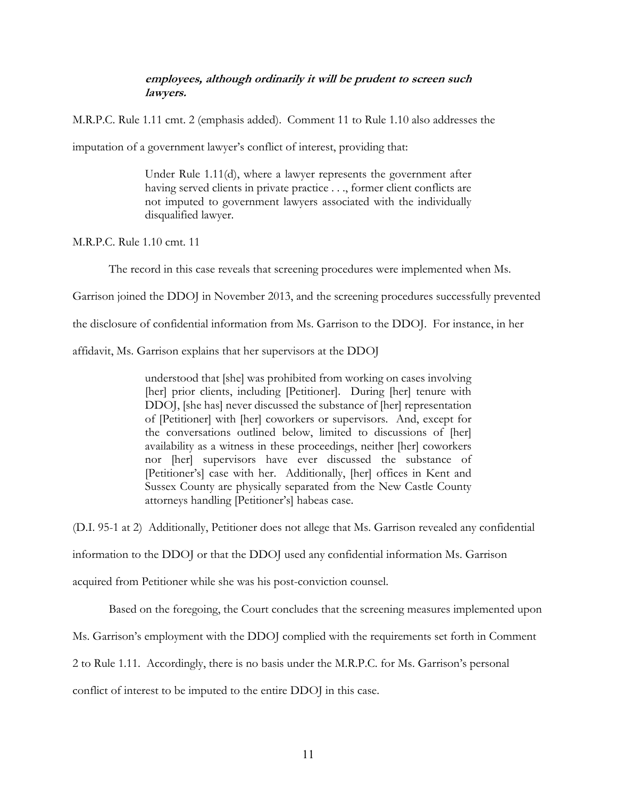### **employees, although ordinarily it will be prudent to screen such lawyers.**

M.R.P.C. Rule 1.11 cmt. 2 (emphasis added). Comment 11 to Rule 1.10 also addresses the

imputation of a government lawyer's conflict of interest, providing that:

Under Rule 1.11(d), where a lawyer represents the government after having served clients in private practice . . ., former client conflicts are not imputed to government lawyers associated with the individually disqualified lawyer.

M.R.P.C. Rule 1.10 cmt. 11

The record in this case reveals that screening procedures were implemented when Ms.

Garrison joined the DDOJ in November 2013, and the screening procedures successfully prevented

the disclosure of confidential information from Ms. Garrison to the DDOJ. For instance, in her

affidavit, Ms. Garrison explains that her supervisors at the DDOJ

understood that [she] was prohibited from working on cases involving [her] prior clients, including [Petitioner]. During [her] tenure with DDOJ, [she has] never discussed the substance of [her] representation of [Petitioner] with [her] coworkers or supervisors. And, except for the conversations outlined below, limited to discussions of [her] availability as a witness in these proceedings, neither [her] coworkers nor [her] supervisors have ever discussed the substance of [Petitioner's] case with her. Additionally, [her] offices in Kent and Sussex County are physically separated from the New Castle County attorneys handling [Petitioner's] habeas case.

(D.I. 95-1 at 2) Additionally, Petitioner does not allege that Ms. Garrison revealed any confidential

information to the DDOJ or that the DDOJ used any confidential information Ms. Garrison

acquired from Petitioner while she was his post-conviction counsel.

Based on the foregoing, the Court concludes that the screening measures implemented upon

Ms. Garrison's employment with the DDOJ complied with the requirements set forth in Comment

2 to Rule 1.11. Accordingly, there is no basis under the M.R.P.C. for Ms. Garrison's personal

conflict of interest to be imputed to the entire DDOJ in this case.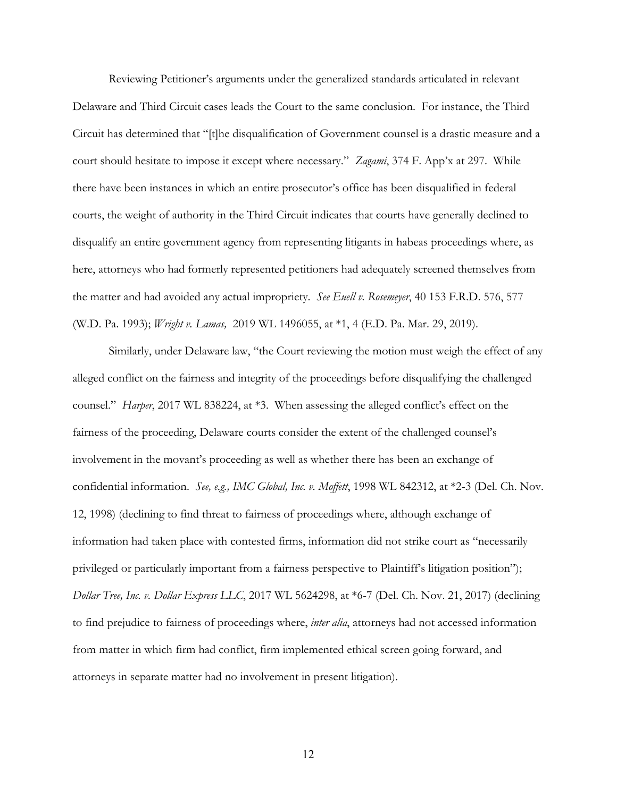Reviewing Petitioner's arguments under the generalized standards articulated in relevant Delaware and Third Circuit cases leads the Court to the same conclusion. For instance, the Third Circuit has determined that "[t]he disqualification of Government counsel is a drastic measure and a court should hesitate to impose it except where necessary." *Zagami*, 374 F. App'x at 297. While there have been instances in which an entire prosecutor's office has been disqualified in federal courts, the weight of authority in the Third Circuit indicates that courts have generally declined to disqualify an entire government agency from representing litigants in habeas proceedings where, as here, attorneys who had formerly represented petitioners had adequately screened themselves from the matter and had avoided any actual impropriety. *See Euell v. Rosemeyer*, 40 153 F.R.D. 576, 577 (W.D. Pa. 1993); *Wright v. Lamas,* 2019 WL 1496055, at \*1, 4 (E.D. Pa. Mar. 29, 2019).

Similarly, under Delaware law, "the Court reviewing the motion must weigh the effect of any alleged conflict on the fairness and integrity of the proceedings before disqualifying the challenged counsel." *Harper*, 2017 WL 838224, at \*3. When assessing the alleged conflict's effect on the fairness of the proceeding, Delaware courts consider the extent of the challenged counsel's involvement in the movant's proceeding as well as whether there has been an exchange of confidential information. *See, e.g., IMC Global, Inc. v. Moffett*, 1998 WL 842312, at \*2-3 (Del. Ch. Nov. 12, 1998) (declining to find threat to fairness of proceedings where, although exchange of information had taken place with contested firms, information did not strike court as "necessarily privileged or particularly important from a fairness perspective to Plaintiff's litigation position"); *Dollar Tree, Inc. v. Dollar Express LLC*, 2017 WL 5624298, at \*6-7 (Del. Ch. Nov. 21, 2017) (declining to find prejudice to fairness of proceedings where, *inter alia*, attorneys had not accessed information from matter in which firm had conflict, firm implemented ethical screen going forward, and attorneys in separate matter had no involvement in present litigation).

12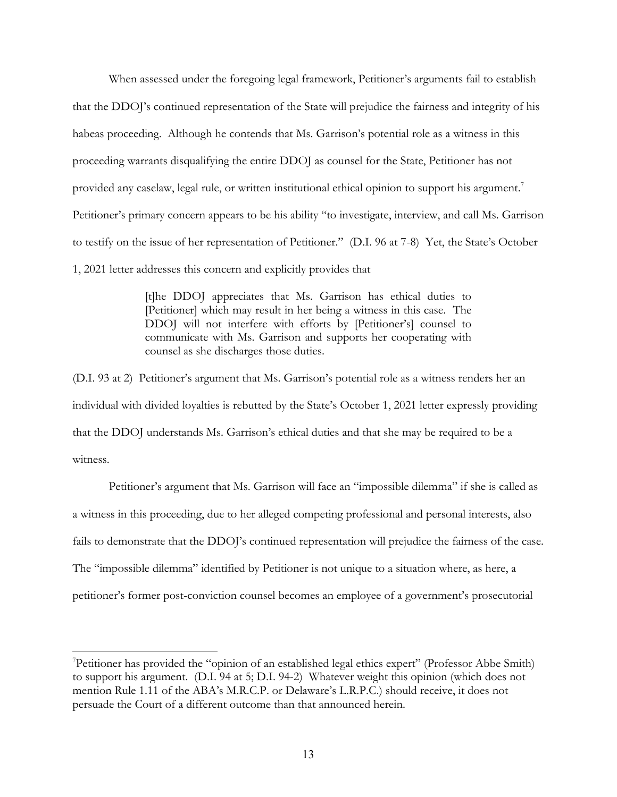When assessed under the foregoing legal framework, Petitioner's arguments fail to establish that the DDOJ's continued representation of the State will prejudice the fairness and integrity of his habeas proceeding. Although he contends that Ms. Garrison's potential role as a witness in this proceeding warrants disqualifying the entire DDOJ as counsel for the State, Petitioner has not provided any caselaw, legal rule, or written institutional ethical opinion to support his argument.<sup>7</sup> Petitioner's primary concern appears to be his ability "to investigate, interview, and call Ms. Garrison to testify on the issue of her representation of Petitioner." (D.I. 96 at 7-8) Yet, the State's October 1, 2021 letter addresses this concern and explicitly provides that

> [t]he DDOJ appreciates that Ms. Garrison has ethical duties to [Petitioner] which may result in her being a witness in this case. The DDOJ will not interfere with efforts by [Petitioner's] counsel to communicate with Ms. Garrison and supports her cooperating with counsel as she discharges those duties.

(D.I. 93 at 2) Petitioner's argument that Ms. Garrison's potential role as a witness renders her an individual with divided loyalties is rebutted by the State's October 1, 2021 letter expressly providing that the DDOJ understands Ms. Garrison's ethical duties and that she may be required to be a witness.

 Petitioner's argument that Ms. Garrison will face an "impossible dilemma" if she is called as a witness in this proceeding, due to her alleged competing professional and personal interests, also fails to demonstrate that the DDOJ's continued representation will prejudice the fairness of the case. The "impossible dilemma" identified by Petitioner is not unique to a situation where, as here, a petitioner's former post-conviction counsel becomes an employee of a government's prosecutorial

<sup>7</sup> Petitioner has provided the "opinion of an established legal ethics expert" (Professor Abbe Smith) to support his argument. (D.I. 94 at 5; D.I. 94-2) Whatever weight this opinion (which does not mention Rule 1.11 of the ABA's M.R.C.P. or Delaware's L.R.P.C.) should receive, it does not persuade the Court of a different outcome than that announced herein.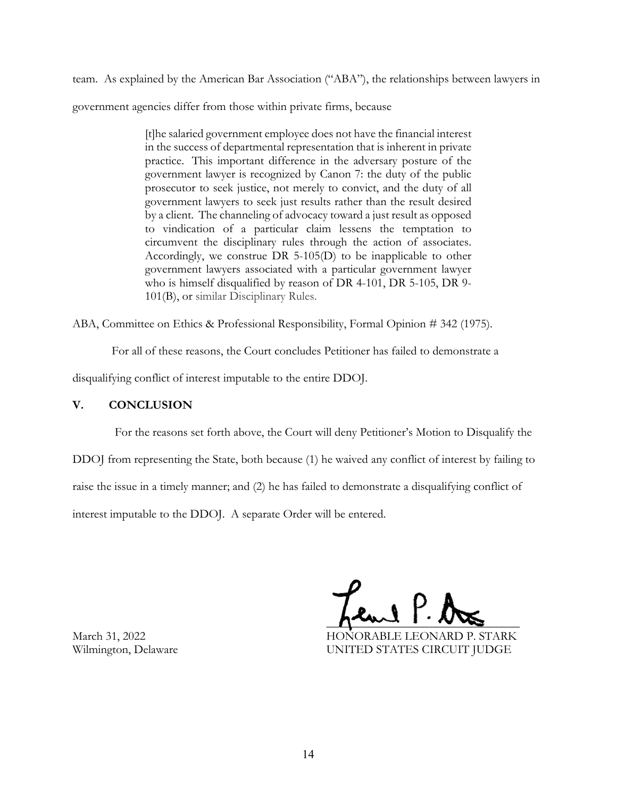team. As explained by the American Bar Association ("ABA"), the relationships between lawyers in government agencies differ from those within private firms, because

> [t]he salaried government employee does not have the financial interest in the success of departmental representation that is inherent in private practice. This important difference in the adversary posture of the government lawyer is recognized by Canon 7: the duty of the public prosecutor to seek justice, not merely to convict, and the duty of all government lawyers to seek just results rather than the result desired by a client. The channeling of advocacy toward a just result as opposed to vindication of a particular claim lessens the temptation to circumvent the disciplinary rules through the action of associates. Accordingly, we construe DR 5-105(D) to be inapplicable to other government lawyers associated with a particular government lawyer who is himself disqualified by reason of DR 4-101, DR 5-105, DR 9- 101(B), or similar Disciplinary Rules.

ABA, Committee on Ethics & Professional Responsibility, Formal Opinion # 342 (1975).

For all of these reasons, the Court concludes Petitioner has failed to demonstrate a

disqualifying conflict of interest imputable to the entire DDOJ.

# **V. CONCLUSION**

 For the reasons set forth above, the Court will deny Petitioner's Motion to Disqualify the DDOJ from representing the State, both because (1) he waived any conflict of interest by failing to raise the issue in a timely manner; and (2) he has failed to demonstrate a disqualifying conflict of interest imputable to the DDOJ. A separate Order will be entered.

 $\frac{1}{\sqrt{2\pi}}$ 

March 31, 2022 HONORABLE LEONARD P. STARK Wilmington, Delaware **UNITED STATES CIRCUIT JUDGE**